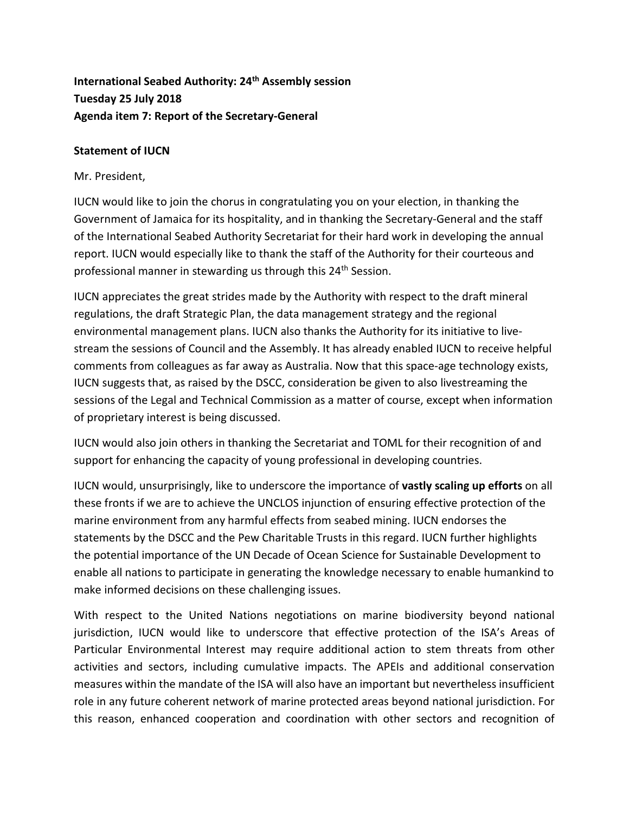## **International Seabed Authority: 24th Assembly session Tuesday 25 July 2018 Agenda item 7: Report of the Secretary-General**

## **Statement of IUCN**

Mr. President,

IUCN would like to join the chorus in congratulating you on your election, in thanking the Government of Jamaica for its hospitality, and in thanking the Secretary-General and the staff of the International Seabed Authority Secretariat for their hard work in developing the annual report. IUCN would especially like to thank the staff of the Authority for their courteous and professional manner in stewarding us through this 24<sup>th</sup> Session.

IUCN appreciates the great strides made by the Authority with respect to the draft mineral regulations, the draft Strategic Plan, the data management strategy and the regional environmental management plans. IUCN also thanks the Authority for its initiative to livestream the sessions of Council and the Assembly. It has already enabled IUCN to receive helpful comments from colleagues as far away as Australia. Now that this space-age technology exists, IUCN suggests that, as raised by the DSCC, consideration be given to also livestreaming the sessions of the Legal and Technical Commission as a matter of course, except when information of proprietary interest is being discussed.

IUCN would also join others in thanking the Secretariat and TOML for their recognition of and support for enhancing the capacity of young professional in developing countries.

IUCN would, unsurprisingly, like to underscore the importance of **vastly scaling up efforts** on all these fronts if we are to achieve the UNCLOS injunction of ensuring effective protection of the marine environment from any harmful effects from seabed mining. IUCN endorses the statements by the DSCC and the Pew Charitable Trusts in this regard. IUCN further highlights the potential importance of the UN Decade of Ocean Science for Sustainable Development to enable all nations to participate in generating the knowledge necessary to enable humankind to make informed decisions on these challenging issues.

With respect to the United Nations negotiations on marine biodiversity beyond national jurisdiction, IUCN would like to underscore that effective protection of the ISA's Areas of Particular Environmental Interest may require additional action to stem threats from other activities and sectors, including cumulative impacts. The APEIs and additional conservation measures within the mandate of the ISA will also have an important but nevertheless insufficient role in any future coherent network of marine protected areas beyond national jurisdiction. For this reason, enhanced cooperation and coordination with other sectors and recognition of